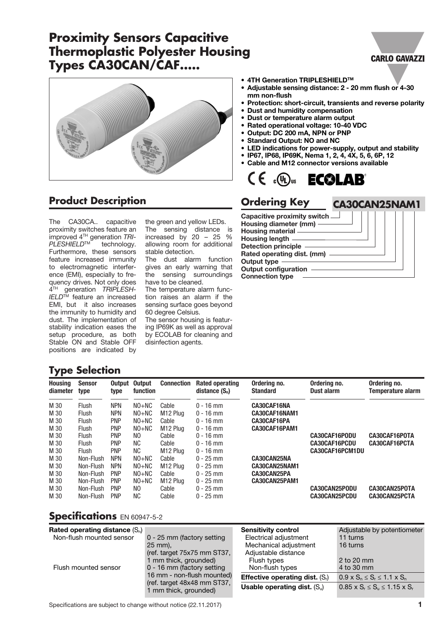# **Proximity Sensors Capacitive Thermoplastic Polyester Housing Types CA30CAN/CAF.....**



## **Product Description**

The CA30CA.. capacitive proximity switches feature an improved 4TH generation *TRI-PLESHIELD*TM technology. Furthermore, these sensors feature increased immunity to electromagnetic interference (EMI), especially to frequency drives. Not only does 4TH generation *TRIPLESH-IELD*TM feature an increased EMI, but it also increases the immunity to humidity and dust. The implementation of stability indication eases the setup procedure, as both Stable ON and Stable OFF positions are indicated by

the green and yellow LEDs. The sensing distance is increased by 20 – 25 % allowing room for additional stable detection.

The dust alarm function gives an early warning that the sensing surroundings have to be cleaned.

The temperature alarm function raises an alarm if the sensing surface goes beyond 60 degree Celsius.

The sensor housing is featuring IP69K as well as approval by ECOLAB for cleaning and disinfection agents.

#### ● 4TH Generation TRIPLESHIELD<sup>™</sup>

- Adjustable sensing distance: 2 20 mm flush or 4-30 mm non-flush
- Protection: short-circuit, transients and reverse polarity
- Dust and humidity compensation
- Dust or temperature alarm output
- Rated operational voltage: 10-40 VDC
- Output: DC 200 mA, NPN or PNP
- Standard Output: NO and NC
- LED indications for power-supply, output and stability
- IP67, IP68, IP69K, Nema 1, 2, 4, 4X, 5, 6, 6P, 12 • Cable and M12 connector versions available



## **Ordering Key**

Capacitive proximity switch Housing diameter (mm) Housing material Housing length Detection principle Rated operating dist. (mm) Output type Output configuration Connection type

**CA30CAN25NAM1**

**CARLO GAVAZZI** 

## **Type Selection**

| <b>Housing</b><br>diameter | <b>Sensor</b><br>type | Output<br>type | <b>Output</b><br>function | <b>Connection</b>    | Rated operating<br>distance $(S_n)$ | Ordering no.<br><b>Standard</b> | Ordering no.<br>Dust alarm | Ordering no.<br>Temperature alarm |
|----------------------------|-----------------------|----------------|---------------------------|----------------------|-------------------------------------|---------------------------------|----------------------------|-----------------------------------|
| M 30                       | <b>Flush</b>          | <b>NPN</b>     | $NO+NC$                   | Cable                | $0 - 16$ mm                         | CA30CAF16NA                     |                            |                                   |
| M 30                       | <b>Flush</b>          | <b>NPN</b>     | $NO+NC$                   | M <sub>12</sub> Plug | $0 - 16$ mm                         | CA30CAF16NAM1                   |                            |                                   |
| M 30                       | <b>Flush</b>          | <b>PNP</b>     | $NO+NC$                   | Cable                | $0 - 16$ mm                         | CA30CAF16PA                     |                            |                                   |
| M 30                       | <b>Flush</b>          | <b>PNP</b>     | $NO+NC$                   | M <sub>12</sub> Plug | $0 - 16$ mm                         | CA30CAF16PAM1                   |                            |                                   |
| M 30                       | <b>Flush</b>          | <b>PNP</b>     | NO.                       | Cable                | $0 - 16$ mm                         |                                 | CA30CAF16PODU              | CA30CAF16POTA                     |
| M 30                       | <b>Flush</b>          | <b>PNP</b>     | NC.                       | Cable                | $0 - 16$ mm                         |                                 | <b>CA30CAF16PCDU</b>       | CA30CAF16PCTA                     |
| M 30                       | Flush                 | <b>PNP</b>     | NC.                       | M <sub>12</sub> Plug | $0 - 16$ mm                         |                                 | CA30CAF16PCM1DU            |                                   |
| M 30                       | Non-Flush             | <b>NPN</b>     | $NO+NC$                   | Cable                | $0 - 25$ mm                         | CA30CAN25NA                     |                            |                                   |
| M 30                       | Non-Flush             | <b>NPN</b>     | $NO+NC$                   | M <sub>12</sub> Plua | $0 - 25$ mm                         | CA30CAN25NAM1                   |                            |                                   |
| M 30                       | Non-Flush             | <b>PNP</b>     | $NO+NC$                   | Cable                | $0 - 25$ mm                         | CA30CAN25PA                     |                            |                                   |
| M 30                       | Non-Flush             | <b>PNP</b>     | $NO+NC$                   | M <sub>12</sub> Plua | $0 - 25$ mm                         | CA30CAN25PAM1                   |                            |                                   |
| M 30                       | Non-Flush             | <b>PNP</b>     | NO.                       | Cable                | $0 - 25$ mm                         |                                 | <b>CA30CAN25PODU</b>       | CA30CAN25POTA                     |
| M 30                       | Non-Flush             | <b>PNP</b>     | NC.                       | Cable                | $0 - 25$ mm                         |                                 | <b>CA30CAN25PCDU</b>       | CA30CAN25PCTA                     |

#### **Specifications** EN 60947-5-2

| Rated operating distance $(S_n)$ |                                                                                    | <b>Sensitivity control</b>               | Adjustable by potentiometer                   |
|----------------------------------|------------------------------------------------------------------------------------|------------------------------------------|-----------------------------------------------|
| Non-flush mounted sensor         | 0 - 25 mm (factory setting                                                         | Electrical adjustment                    | 11 turns                                      |
|                                  | $25 \text{ mm}$ ).                                                                 | Mechanical adjustment                    | 16 turns                                      |
|                                  | (ref. target 75x75 mm ST37,                                                        | Adjustable distance                      |                                               |
|                                  | 1 mm thick, grounded)                                                              | Flush types                              | 2 to 20 mm                                    |
| Flush mounted sensor             | 0 - 16 mm (factory setting                                                         | Non-flush types                          | 4 to 30 mm                                    |
|                                  | 16 mm - non-flush mounted)<br>(ref. target 48x48 mm ST37,<br>1 mm thick, grounded) | <b>Effective operating dist.</b> $(S_i)$ | $0.9 \times S_n \le S_r \le 1.1 \times S_n$   |
|                                  |                                                                                    | Usable operating dist. $(S_u)$           | $0.85 \times S_r \le S_u \le 1.15 \times S_r$ |
|                                  |                                                                                    |                                          |                                               |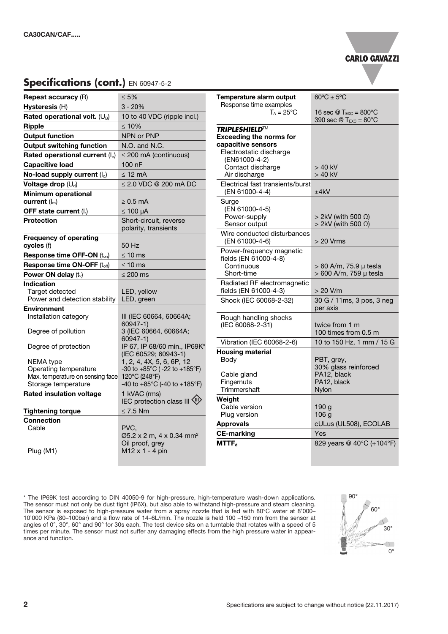#### **CARLO GAVAZZI**

## **Specifications (cont.)** EN 60947-5-2

| <b>Repeat accuracy (R)</b>                                     | $\leq 5\%$                                           |
|----------------------------------------------------------------|------------------------------------------------------|
| Hysteresis (H)                                                 | $3 - 20%$                                            |
| Rated operational volt. $(U_B)$                                | 10 to 40 VDC (ripple incl.)                          |
| <b>Ripple</b>                                                  | ≤ 10%                                                |
| <b>Output function</b>                                         | NPN or PNP                                           |
| <b>Output switching function</b>                               | N.O. and N.C.                                        |
| Rated operational current (Ie)                                 | $\leq$ 200 mA (continuous)                           |
| <b>Capacitive load</b>                                         | 100 nF                                               |
| No-load supply current (I <sub>o</sub> )                       | ≤ 12 mA                                              |
| Voltage drop (Ud)                                              | ≤ 2.0 VDC @ 200 mA DC                                |
| Minimum operational                                            |                                                      |
| current $(\mathsf{I}_{m})$                                     | ≥ 0.5 mA                                             |
| OFF state current $(I_r)$                                      | $\leq 100 \mu A$                                     |
| <b>Protection</b>                                              | Short-circuit, reverse<br>polarity, transients       |
| <b>Frequency of operating</b>                                  |                                                      |
| cycles (f)                                                     | 50 Hz                                                |
| Response time OFF-ON (ton)                                     | ≤ 10 ms                                              |
| Response time ON-OFF (toff)                                    | ≤ 10 ms                                              |
| Power ON delay $(t_v)$                                         | ≤ 200 ms                                             |
| Indication<br>Target detected<br>Power and detection stability | LED, yellow<br>LED, green                            |
| <b>Environment</b>                                             |                                                      |
| Installation category                                          | III (IEC 60664, 60664A;<br>60947-1)                  |
| Degree of pollution                                            | 3 (IEC 60664, 60664A;<br>$60947 - 1)$                |
| Degree of protection                                           | IP 67, IP 68/60 min., IP69K*<br>(IEC 60529; 60943-1) |
| NEMA type                                                      | 1, 2, 4, 4X, 5, 6, 6P, 12                            |
| Operating temperature                                          | -30 to +85°C (-22 to +185°F)                         |
| Max. temperature on sensing face<br>Storage temperature        | 120°C (248°F)<br>-40 to +85°C (-40 to +185°F)        |
| <b>Rated insulation voltage</b>                                | 1 kVAC (rms)                                         |
|                                                                | IEC protection class III <\\!)                       |
| <b>Tightening torque</b>                                       | $\leq 7.5$ Nm                                        |
| <b>Connection</b>                                              |                                                      |
| Cable                                                          | PVC.<br>Ø5.2 x 2 m, 4 x 0.34 mm <sup>2</sup>         |
|                                                                | Oil proof, grey                                      |
| Plug (M1)                                                      | M12 x 1 - 4 pin                                      |

| Temperature alarm output<br>Response time examples   | $60^{\circ}$ C $\pm$ 5°C                                                                                       |
|------------------------------------------------------|----------------------------------------------------------------------------------------------------------------|
| $T_A = 25^{\circ}C$                                  | 16 sec $\mathcal{D}$ T <sub>EXC</sub> = 800 °C<br>390 sec $\textcircled{a}$ T <sub>EXC</sub> = 80 $^{\circ}$ C |
| TRIPLESHIELD™                                        |                                                                                                                |
| <b>Exceeding the norms for</b><br>capacitive sensors |                                                                                                                |
| Electrostatic discharge                              |                                                                                                                |
| (EN61000-4-2)                                        |                                                                                                                |
| Contact discharge                                    | > 40 kV                                                                                                        |
| Air discharge                                        | > 40 kV                                                                                                        |
| Electrical fast transients/burst<br>(EN 61000-4-4)   | ±4kV                                                                                                           |
| Surge                                                |                                                                                                                |
| (EN 61000-4-5)<br>Power-supply                       | $>$ 2kV (with 500 $\Omega$ )                                                                                   |
| Sensor output                                        | $> 2$ kV (with 500 $\Omega$ )                                                                                  |
| Wire conducted disturbances                          |                                                                                                                |
| (EN 61000-4-6)                                       | > 20 Vrms                                                                                                      |
| Power-frequency magnetic                             |                                                                                                                |
| fields (EN 61000-4-8)                                |                                                                                                                |
| Continuous<br>Short-time                             | > 60 A/m, 75.9 µ tesla<br>> 600 A/m, 759 µ tesla                                                               |
| Radiated RF electromagnetic                          |                                                                                                                |
| fields (EN 61000-4-3)                                | > 20 V/m                                                                                                       |
| Shock (IEC 60068-2-32)                               | 30 G / 11ms, 3 pos, 3 neg                                                                                      |
|                                                      | per axis                                                                                                       |
| Rough handling shocks                                |                                                                                                                |
| (IEC 60068-2-31)                                     | twice from 1 m<br>100 times from 0.5 m                                                                         |
|                                                      | 10 to 150 Hz, 1 mm / 15 G                                                                                      |
| Vibration (IEC 60068-2-6)                            |                                                                                                                |
| <b>Housing material</b><br>Body                      | PBT, grey,                                                                                                     |
|                                                      | 30% glass reinforced                                                                                           |
| Cable gland                                          | PA12, black                                                                                                    |
| Fingernuts                                           | PA12, black                                                                                                    |
| Trimmershaft                                         | Nylon                                                                                                          |
| Weight<br>Cable version                              | 190 g                                                                                                          |
| Plug version                                         | 106 <sub>g</sub>                                                                                               |
| Approvals                                            | cULus (UL508), ECOLAB                                                                                          |
| <b>CE-marking</b>                                    | Yes                                                                                                            |
| <b>MTTF</b> <sub>d</sub>                             | 829 years @ 40°C (+104°F)                                                                                      |

\* The IP69K test according to DIN 40050-9 for high-pressure, high-temperature wash-down applications. The sensor must not only be dust tight (IP6X), but also able to withstand high-pressure and steam cleaning. The sensor is exposed to high-pressure water from a spray nozzle that is fed with 80°C water at 8'000– 10'000 KPa (80–100bar) and a flow rate of 14–6L/min. The nozzle is held 100 –150 mm from the sensor at angles of 0°, 30°, 60° and 90° for 30s each. The test device sits on a turntable that rotates with a speed of 5 times per minute. The sensor must not suffer any damaging effects from the high pressure water in appearance and function.

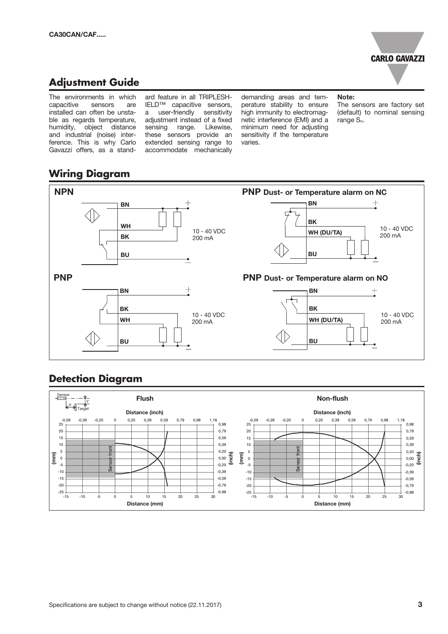

## **Adjustment Guide**

The environments in which capacitive sensors are installed can often be unstable as regards temperature, humidity, object distance and industrial (noise) interference. This is why Carlo Gavazzi offers, as a standard feature in all TRIPLESH-IELD™ capacitive sensors, a user-friendly sensitivity adjustment instead of a fixed sensing range. Likewise, these sensors provide an extended sensing range to accommodate mechanically

demanding areas and temperature stability to ensure high immunity to electromagnetic interference (EMI) and a minimum need for adjusting sensitivity if the temperature varies.

Note:

The sensors are factory set (default) to nominal sensing range Sn.

## **Wiring Diagram**



## **Detection Diagram**

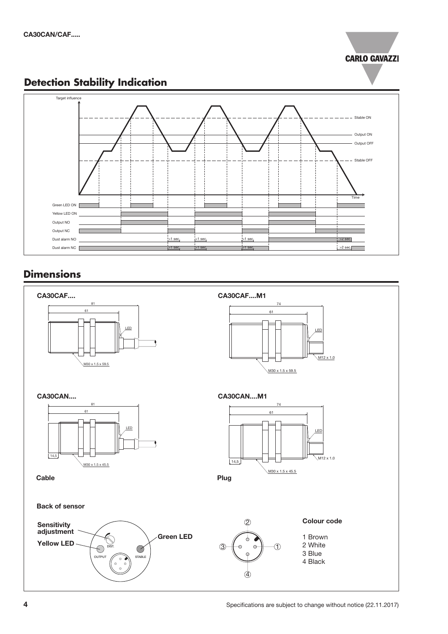

## **Detection Stability Indication**



## **Dimensions**